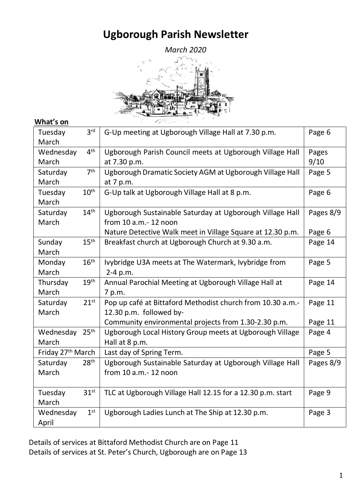# **Ugborough Parish Newsletter**



### **What's on**

| Tuesday<br>March              | 3 <sup>rd</sup>  | G-Up meeting at Ugborough Village Hall at 7.30 p.m.        | Page 6    |
|-------------------------------|------------------|------------------------------------------------------------|-----------|
|                               | 4 <sup>th</sup>  |                                                            |           |
| Wednesday                     |                  | Ugborough Parish Council meets at Ugborough Village Hall   | Pages     |
| March                         |                  | at 7.30 p.m.                                               | 9/10      |
| Saturday                      | 7 <sup>th</sup>  | Ugborough Dramatic Society AGM at Ugborough Village Hall   | Page 5    |
| March                         |                  | at 7 p.m.                                                  |           |
| Tuesday                       | 10 <sup>th</sup> | G-Up talk at Ugborough Village Hall at 8 p.m.              | Page 6    |
| March                         |                  |                                                            |           |
| Saturday                      | 14 <sup>th</sup> | Ugborough Sustainable Saturday at Ugborough Village Hall   | Pages 8/9 |
| March                         |                  | from 10 a.m. - 12 noon                                     |           |
|                               |                  | Nature Detective Walk meet in Village Square at 12.30 p.m. | Page 6    |
| Sunday                        | 15 <sup>th</sup> | Breakfast church at Ugborough Church at 9.30 a.m.          | Page 14   |
| March                         |                  |                                                            |           |
| Monday                        | 16 <sup>th</sup> | Ivybridge U3A meets at The Watermark, Ivybridge from       | Page 5    |
| March                         |                  | 2-4 p.m.                                                   |           |
| Thursday                      | 19 <sup>th</sup> | Annual Parochial Meeting at Ugborough Village Hall at      | Page 14   |
| March                         |                  | 7 p.m.                                                     |           |
| Saturday                      | 21 <sup>st</sup> | Pop up café at Bittaford Methodist church from 10.30 a.m.- | Page 11   |
| March                         |                  | 12.30 p.m. followed by-                                    |           |
|                               |                  | Community environmental projects from 1.30-2.30 p.m.       | Page 11   |
| Wednesday 25th                |                  | Ugborough Local History Group meets at Ugborough Village   | Page 4    |
| March                         |                  | Hall at 8 p.m.                                             |           |
| Friday 27 <sup>th</sup> March |                  | Last day of Spring Term.                                   | Page 5    |
| Saturday                      | 28 <sup>th</sup> | Ugborough Sustainable Saturday at Ugborough Village Hall   | Pages 8/9 |
| March                         |                  | from 10 a.m. - 12 noon                                     |           |
|                               |                  |                                                            |           |
| Tuesday                       | 31 <sup>st</sup> | TLC at Ugborough Village Hall 12.15 for a 12.30 p.m. start | Page 9    |
| March                         |                  |                                                            |           |
| Wednesday                     | 1 <sup>st</sup>  | Ugborough Ladies Lunch at The Ship at 12.30 p.m.           | Page 3    |
| April                         |                  |                                                            |           |

Details of services at Bittaford Methodist Church are on Page 11 Details of services at St. Peter's Church, Ugborough are on Page 13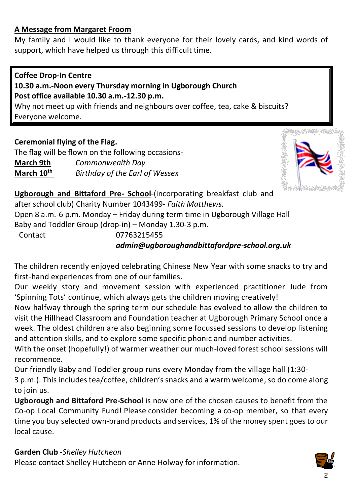### **A Message from Margaret Froom**

My family and I would like to thank everyone for their lovely cards, and kind words of support, which have helped us through this difficult time.

### **Coffee Drop-In Centre**

### **10.30 a.m.-Noon every Thursday morning in Ugborough Church Post office available 10.30 a.m.-12.30 p.m.**

Why not meet up with friends and neighbours over coffee, tea, cake & biscuits? Everyone welcome.

### **Ceremonial flying of the Flag.**

The flag will be flown on the following occasions-**March 9th** *Commonwealth Day* **March 10th** *Birthday of the Earl of Wessex*



**Ugborough and Bittaford Pre- School**-(incorporating breakfast club and after school club) Charity Number 1043499*- Faith Matthews.* Open 8 a.m.-6 p.m. Monday – Friday during term time in Ugborough Village Hall Baby and Toddler Group (drop-in) – Monday 1.30-3 p.m. Contact 07763215455

# *[admin@ugboroughandbittafordpre-school.org.uk](mailto:admin@ugboroughandbittafordpre-school.org.uk)*

The children recently enjoyed celebrating Chinese New Year with some snacks to try and first-hand experiences from one of our families.

Our weekly story and movement session with experienced practitioner Jude from 'Spinning Tots' continue, which always gets the children moving creatively!

Now halfway through the spring term our schedule has evolved to allow the children to visit the Hillhead Classroom and Foundation teacher at Ugborough Primary School once a week. The oldest children are also beginning some focussed sessions to develop listening and attention skills, and to explore some specific phonic and number activities.

With the onset (hopefully!) of warmer weather our much-loved forest school sessions will recommence.

Our friendly Baby and Toddler group runs every Monday from the village hall (1:30-

3 p.m.). This includes tea/coffee, children's snacks and a warm welcome, so do come along to join us.

**Ugborough and Bittaford Pre-School** is now one of the chosen causes to benefit from the Co-op Local Community Fund! Please consider becoming a co-op member, so that every time you buy selected own-brand products and services, 1% of the money spent goes to our local cause.

### **Garden Club** -*Shelley Hutcheon*

Please contact Shelley Hutcheon or Anne Holway for information.

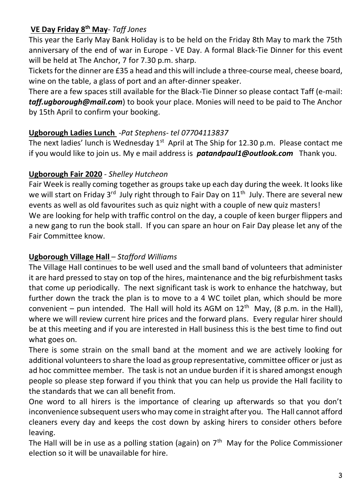# **VE Day Friday 8th May**- *Taff Jones*

This year the Early May Bank Holiday is to be held on the Friday 8th May to mark the 75th anniversary of the end of war in Europe - VE Day. A formal Black-Tie Dinner for this event will be held at The Anchor, 7 for 7.30 p.m. sharp.

Tickets for the dinner are £35 a head and this will include a three-course meal, cheese board, wine on the table, a glass of port and an after-dinner speaker.

There are a few spaces still available for the Black-Tie Dinner so please contact Taff (e-mail: *[taff.ugborough@mail.com](mailto:taff.ugborough@mail.com)*) to book your place. Monies will need to be paid to The Anchor by 15th April to confirm your booking.

### **Ugborough Ladies Lunch** -*Pat Stephens- tel 07704113837*

The next ladies' lunch is Wednesday  $1<sup>st</sup>$  April at The Ship for 12.30 p.m. Please contact me if you would like to join us. My e mail address is *patandpaul1@outlook.com* Thank you.

### **Ugborough Fair 2020** *- Shelley Hutcheon*

Fair Week is really coming together as groups take up each day during the week. It looks like we will start on Friday 3<sup>rd</sup> July right through to Fair Day on 11<sup>th</sup> July. There are several new events as well as old favourites such as quiz night with a couple of new quiz masters! We are looking for help with traffic control on the day, a couple of keen burger flippers and a new gang to run the book stall. If you can spare an hour on Fair Day please let any of the Fair Committee know.

### **Ugborough Village Hall** – *Stafford Williams*

The Village Hall continues to be well used and the small band of volunteers that administer it are hard pressed to stay on top of the hires, maintenance and the big refurbishment tasks that come up periodically. The next significant task is work to enhance the hatchway, but further down the track the plan is to move to a 4 WC toilet plan, which should be more convenient – pun intended. The Hall will hold its AGM on  $12<sup>th</sup>$  May, (8 p.m. in the Hall), where we will review current hire prices and the forward plans. Every regular hirer should be at this meeting and if you are interested in Hall business this is the best time to find out what goes on.

There is some strain on the small band at the moment and we are actively looking for additional volunteers to share the load as group representative, committee officer or just as ad hoc committee member. The task is not an undue burden if it is shared amongst enough people so please step forward if you think that you can help us provide the Hall facility to the standards that we can all benefit from.

One word to all hirers is the importance of clearing up afterwards so that you don't inconvenience subsequent users who may come in straight after you. The Hall cannot afford cleaners every day and keeps the cost down by asking hirers to consider others before leaving.

The Hall will be in use as a polling station (again) on  $7<sup>th</sup>$  May for the Police Commissioner election so it will be unavailable for hire.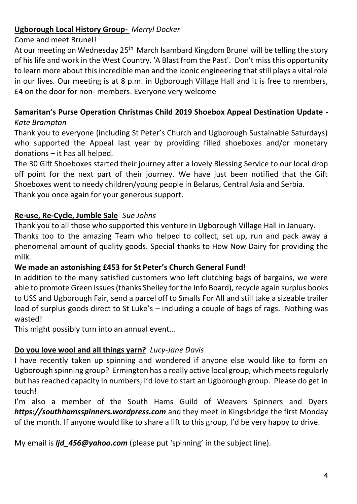## **Ugborough Local History Group-** *Merryl Docker*

#### Come and meet Brunel!

At our meeting on Wednesday 25<sup>th</sup> March Isambard Kingdom Brunel will be telling the story of his life and work in the West Country. 'A Blast from the Past'. Don't miss this opportunity to learn more about this incredible man and the iconic engineering that still plays a vital role in our lives. Our meeting is at 8 p.m. in Ugborough Village Hall and it is free to members, £4 on the door for non- members. Everyone very welcome

# **Samaritan's Purse Operation Christmas Child 2019 Shoebox Appeal Destination Update -**

#### *Kate Brampton*

Thank you to everyone (including St Peter's Church and Ugborough Sustainable Saturdays) who supported the Appeal last year by providing filled shoeboxes and/or monetary donations – it has all helped.

The 30 Gift Shoeboxes started their journey after a lovely Blessing Service to our local drop off point for the next part of their journey. We have just been notified that the Gift Shoeboxes went to needy children/young people in Belarus, Central Asia and Serbia. Thank you once again for your generous support.

### **Re-use, Re-Cycle, Jumble Sale**- *Sue Johns*

Thank you to all those who supported this venture in Ugborough Village Hall in January. Thanks too to the amazing Team who helped to collect, set up, run and pack away a phenomenal amount of quality goods. Special thanks to How Now Dairy for providing the milk.

### **We made an astonishing £453 for St Peter's Church General Fund!**

In addition to the many satisfied customers who left clutching bags of bargains, we were able to promote Green issues (thanks Shelley for the Info Board), recycle again surplus books to USS and Ugborough Fair, send a parcel off to Smalls For All and still take a sizeable trailer load of surplus goods direct to St Luke's – including a couple of bags of rags. Nothing was wasted!

This might possibly turn into an annual event…

# **Do you love wool and all things yarn?** *Lucy-Jane Davis*

I have recently taken up spinning and wondered if anyone else would like to form an Ugborough spinning group? Ermington has a really active local group, which meets regularly but has reached capacity in numbers; I'd love to start an Ugborough group. Please do get in touch!

I'm also a member of the South Hams Guild of Weavers Spinners and Dyers *[https://southhamsspinners.wordpress.com](https://southhamsspinners.wordpress.com/)* and they meet in Kingsbridge the first Monday of the month. If anyone would like to share a lift to this group, I'd be very happy to drive.

My email is *lid 456@yahoo.com* (please put 'spinning' in the subject line).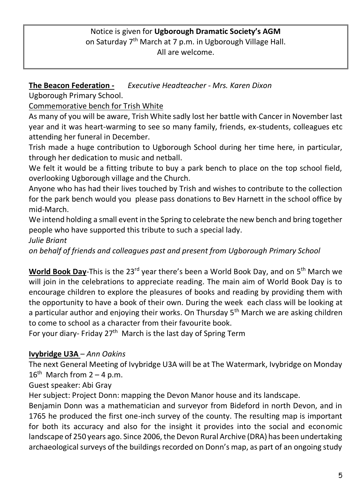### Notice is given for **Ugborough Dramatic Society's AGM** on Saturday 7th March at 7 p.m. in Ugborough Village Hall. All are welcome.

**The Beacon Federation -** *Executive Headteacher - Mrs. Karen Dixon*

Ugborough Primary School.

Commemorative bench for Trish White

As many of you will be aware, Trish White sadly lost her battle with Cancer in November last year and it was heart-warming to see so many family, friends, ex-students, colleagues etc attending her funeral in December.

Trish made a huge contribution to Ugborough School during her time here, in particular, through her dedication to music and netball.

We felt it would be a fitting tribute to buy a park bench to place on the top school field, overlooking Ugborough village and the Church.

Anyone who has had their lives touched by Trish and wishes to contribute to the collection for the park bench would you please pass donations to Bev Harnett in the school office by mid-March.

We intend holding a small event in the Spring to celebrate the new bench and bring together people who have supported this tribute to such a special lady.

*Julie Briant* 

*on behalf of friends and colleagues past and present from Ugborough Primary School*

World Book Day-This is the 23<sup>rd</sup> year there's been a World Book Day, and on 5<sup>th</sup> March we will join in the celebrations to appreciate reading. The main aim of World Book Day is to encourage children to explore the pleasures of books and reading by providing them with the opportunity to have a book of their own. During the week each class will be looking at a particular author and enjoying their works. On Thursday  $5<sup>th</sup>$  March we are asking children to come to school as a character from their favourite book.

For your diary- Friday 27<sup>th</sup> March is the last day of Spring Term

# **Ivybridge U3A** *– Ann Oakins*

The next General Meeting of Ivybridge U3A will be at The Watermark, Ivybridge on Monday  $16^{th}$  March from  $2 - 4$  p.m.

Guest speaker: Abi Gray

Her subject: Project Donn: mapping the Devon Manor house and its landscape.

Benjamin Donn was a mathematician and surveyor from Bideford in north Devon, and in 1765 he produced the first one-inch survey of the county. The resulting map is important for both its accuracy and also for the insight it provides into the social and economic landscape of 250 years ago. Since 2006, the Devon Rural Archive (DRA) has been undertaking archaeological surveys of the buildings recorded on Donn's map, as part of an ongoing study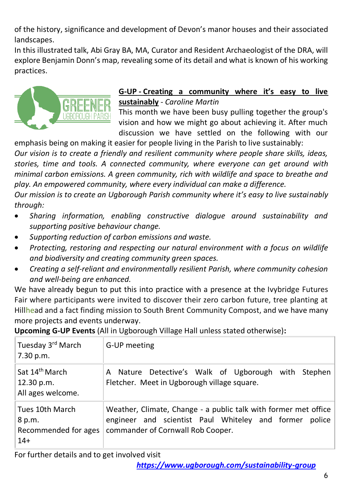of the history, significance and development of Devon's manor houses and their associated landscapes.

In this illustrated talk, Abi Gray BA, MA, Curator and Resident Archaeologist of the DRA, will explore Benjamin Donn's map, revealing some of its detail and what is known of his working practices.



### **G-UP - Creating a community where it's easy to live sustainably** - *Caroline Martin*

This month we have been busy pulling together the group's vision and how we might go about achieving it. After much discussion we have settled on the following with our

emphasis being on making it easier for people living in the Parish to live sustainably: *Our vision is to create a friendly and resilient community where people share skills, ideas, stories, time and tools. A connected community, where everyone can get around with minimal carbon emissions. A green community, rich with wildlife and space to breathe and play. An empowered community, where every individual can make a difference.*

*Our mission is to create an Ugborough Parish community where it's easy to live sustainably through:*

- *Sharing information, enabling constructive dialogue around sustainability and supporting positive behaviour change.*
- *Supporting reduction of carbon emissions and waste.*
- *Protecting, restoring and respecting our natural environment with a focus on wildlife and biodiversity and creating community green spaces.*
- *Creating a self-reliant and environmentally resilient Parish, where community cohesion and well-being are enhanced.*

We have already begun to put this into practice with a presence at the Ivybridge Futures Fair where participants were invited to discover their zero carbon future, tree planting at Hillhead and a fact finding mission to South Brent Community Compost, and we have many more projects and events underway.

**Upcoming G-UP Events** (All in Ugborough Village Hall unless stated otherwise)**:**

| Tuesday 3 <sup>rd</sup> March<br>7.30 p.m.                      | G-UP meeting                                                                                                                                                   |
|-----------------------------------------------------------------|----------------------------------------------------------------------------------------------------------------------------------------------------------------|
| Sat 14 <sup>th</sup> March<br>  12.30 p.m.<br>All ages welcome. | A Nature Detective's Walk of Ugborough with Stephen<br>Fletcher. Meet in Ugborough village square.                                                             |
| Tues 10th March<br>8 p.m.<br>Recommended for ages<br>$14+$      | Weather, Climate, Change - a public talk with former met office<br>engineer and scientist Paul Whiteley and former police<br>commander of Cornwall Rob Cooper. |

For further details and to get involved visit

*<https://www.ugborough.com/sustainability-group>*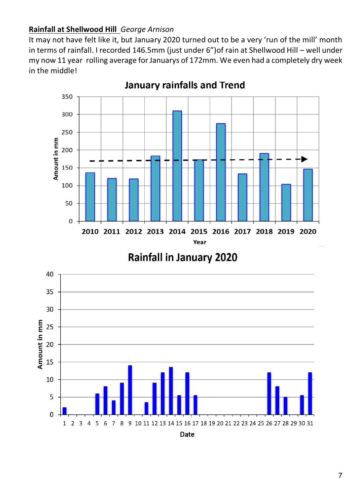### **Rainfall at Shellwood Hill** *George Arnison*

It may not have felt like it, but January 2020 turned out to be a very 'run of the mill' month in terms of rainfall. I recorded 146.5mm (just under 6")of rain at Shellwood Hill – well under my now 11 year rolling average for Januarys of 172mm. We even had a completely dry week in the middle!



**January rainfalls and Trend** 



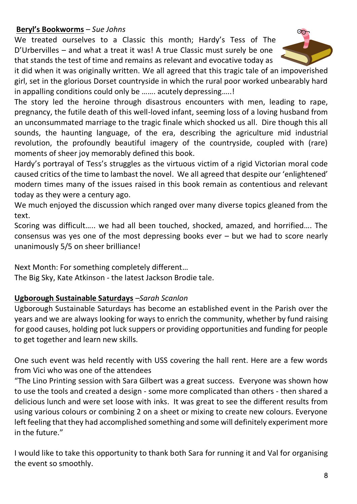### **Beryl's Bookworms** – *Sue Johns*

We treated ourselves to a Classic this month; Hardy's Tess of The D'Urbervilles – and what a treat it was! A true Classic must surely be one that stands the test of time and remains as relevant and evocative today as



it did when it was originally written. We all agreed that this tragic tale of an impoverished girl, set in the glorious Dorset countryside in which the rural poor worked unbearably hard in appalling conditions could only be ....... acutely depressing.....!

The story led the heroine through disastrous encounters with men, leading to rape, pregnancy, the futile death of this well-loved infant, seeming loss of a loving husband from an unconsummated marriage to the tragic finale which shocked us all. Dire though this all sounds, the haunting language, of the era, describing the agriculture mid industrial revolution, the profoundly beautiful imagery of the countryside, coupled with (rare) moments of sheer joy memorably defined this book.

Hardy's portrayal of Tess's struggles as the virtuous victim of a rigid Victorian moral code caused critics of the time to lambast the novel. We all agreed that despite our 'enlightened' modern times many of the issues raised in this book remain as contentious and relevant today as they were a century ago.

We much enjoyed the discussion which ranged over many diverse topics gleaned from the text.

Scoring was difficult….. we had all been touched, shocked, amazed, and horrified…. The consensus was yes one of the most depressing books ever – but we had to score nearly unanimously 5/5 on sheer brilliance!

Next Month: For something completely different…

The Big Sky, Kate Atkinson - the latest Jackson Brodie tale.

### **Ugborough Sustainable Saturdays** *–Sarah Scanlon*

Ugborough Sustainable Saturdays has become an established event in the Parish over the years and we are always looking for ways to enrich the community, whether by fund raising for good causes, holding pot luck suppers or providing opportunities and funding for people to get together and learn new skills.

One such event was held recently with USS covering the hall rent. Here are a few words from Vici who was one of the attendees

"The Lino Printing session with Sara Gilbert was a great success. Everyone was shown how to use the tools and created a design - some more complicated than others - then shared a delicious lunch and were set loose with inks. It was great to see the different results from using various colours or combining 2 on a sheet or mixing to create new colours. Everyone left feeling that they had accomplished something and some will definitely experiment more in the future."

I would like to take this opportunity to thank both Sara for running it and Val for organising the event so smoothly.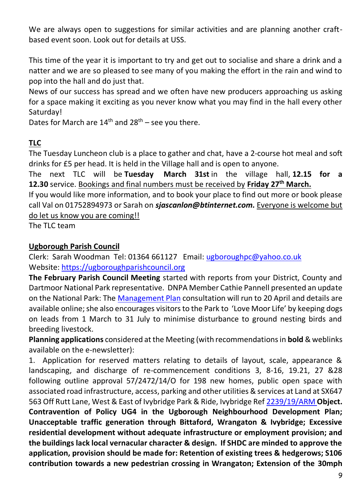We are always open to suggestions for similar activities and are planning another craftbased event soon. Look out for details at USS.

This time of the year it is important to try and get out to socialise and share a drink and a natter and we are so pleased to see many of you making the effort in the rain and wind to pop into the hall and do just that.

News of our success has spread and we often have new producers approaching us asking for a space making it exciting as you never know what you may find in the hall every other Saturday!

Dates for March are  $14<sup>th</sup>$  and  $28<sup>th</sup>$  – see you there.

# **TLC**

The Tuesday Luncheon club is a place to gather and chat, have a 2-course hot meal and soft drinks for £5 per head. It is held in the Village hall and is open to anyone.

The next TLC will be **Tuesday March 31st** in the village hall, **12.15 for a 12.30** service. Bookings and final numbers must be received by **Friday 27th March.**

If you would like more information, and to book your place to find out more or book please call Val on 01752894973 or Sarah on *[sjascanlon@btinternet.com.](mailto:sjascanlon@btinternet.com)* Everyone is welcome but do let us know you are coming!!

The TLC team

### **Ugborough Parish Council**

Clerk: Sarah Woodman Tel: 01364 661127 Email: [ugboroughpc@yahoo.co.uk](file:///C:/Users/User/Documents/newsletter/ugboroughpc@yahoo.co.uk) Website[: https://ugboroughparishcouncil.org](https://ugboroughparishcouncil.org/)

**The February Parish Council Meeting** started with reports from your District, County and Dartmoor National Park representative. DNPA Member Cathie Pannell presented an update on the National Park: The [Management Plan](https://www.dartmoor.gov.uk/living-and-working/management-plan/management-plan-review) consultation will run to 20 April and details are available online; she also encourages visitors to the Park to 'Love Moor Life' by keeping dogs on leads from 1 March to 31 July to minimise disturbance to ground nesting birds and breeding livestock.

**Planning applications** considered at the Meeting (with recommendations in **bold** & weblinks available on the e-newsletter):

1. Application for reserved matters relating to details of layout, scale, appearance & landscaping, and discharge of re-commencement conditions 3, 8-16, 19.21, 27 &28 following outline approval 57/2472/14/O for 198 new homes, public open space with associated road infrastructure, access, parking and other utilities & services at Land at SX647 563 Off Rutt Lane, West & East of Ivybridge Park & Ride, Ivybridge Re[f 2239/19/ARM](http://apps.southhams.gov.uk/PlanningSearchMVC/Home/Details/192239) **Object. Contravention of Policy UG4 in the Ugborough Neighbourhood Development Plan; Unacceptable traffic generation through Bittaford, Wrangaton & Ivybridge; Excessive residential development without adequate infrastructure or employment provision; and the buildings lack local vernacular character & design. If SHDC are minded to approve the application, provision should be made for: Retention of existing trees & hedgerows; S106 contribution towards a new pedestrian crossing in Wrangaton; Extension of the 30mph**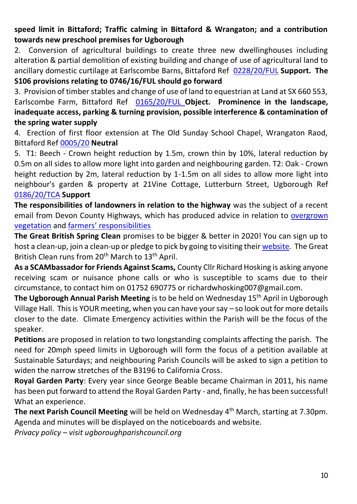**speed limit in Bittaford; Traffic calming in Bittaford & Wrangaton; and a contribution towards new preschool premises for Ugborough**

2. Conversion of agricultural buildings to create three new dwellinghouses including alteration & partial demolition of existing building and change of use of agricultural land to ancillary domestic curtilage at Earlscombe Barns, Bittaford Ref [0228/20/FUL](http://apps.southhams.gov.uk/PlanningSearchMVC/Home/Details/200228) **Support. The S106 provisions relating to 0746/16/FUL should go forward**

3. Provision of timber stables and change of use of land to equestrian at Land at SX 660 553, Earlscombe Farm, Bittaford Ref [0165/20/FUL](http://apps.southhams.gov.uk/PlanningSearchMVC/Home/Details/200165) **Object. Prominence in the landscape, inadequate access, parking & turning provision, possible interference & contamination of the spring water supply**

4. Erection of first floor extension at The Old Sunday School Chapel, Wrangaton Raod, Bittaford Ref [0005/20](https://www.dartmoor.gov.uk/living-and-working/planning/search-for-an-application/db-links/detailed-application-result?AppNo=0005%2F20) **Neutral** 

5. T1: Beech - Crown height reduction by 1.5m, crown thin by 10%, lateral reduction by 0.5m on all sides to allow more light into garden and neighbouring garden. T2: Oak - Crown height reduction by 2m, lateral reduction by 1-1.5m on all sides to allow more light into neighbour's garden & property at 21Vine Cottage, Lutterburn Street, Ugborough Ref [0186/20/TCA](http://apps.southhams.gov.uk/PlanningSearchMVC/Home/Details/200186) **Support**

**The responsibilities of landowners in relation to the highway** was the subject of a recent email from Devon County Highways, which has produced advice in relation to [overgrown](https://www.devon.gov.uk/roadsandtransport/maintaining-roads/trees-and-vegetation/overgrown-vegetation/)  [vegetation](https://www.devon.gov.uk/roadsandtransport/maintaining-roads/trees-and-vegetation/overgrown-vegetation/) and far[mers' responsibilities](https://www.devon.gov.uk/roadsandtransport/factsheet/roads-and-farmers/)

**The Great British Spring Clean** promises to be bigger & better in 2020! You can sign up to host a clean-up, join a clean-up or pledge to pick by going to visiting thei[r website.](https://www.keepbritaintidy.org/get-involved/support-our-campaigns/great-british-spring-clean) The Great British Clean runs from 20<sup>th</sup> March to 13<sup>th</sup> April.

**As a SCAMbassador for Friends Against Scams,** County Cllr Richard Hosking is asking anyone receiving scam or nuisance phone calls or who is susceptible to scams due to their circumstance, to contact him on 01752 690775 or richardwhosking007@gmail.com.

**The Ugborough Annual Parish Meeting** is to be held on Wednesday 15th April in Ugborough Village Hall. This is YOUR meeting, when you can have your say – so look out for more details closer to the date. Climate Emergency activities within the Parish will be the focus of the speaker.

**Petitions** are proposed in relation to two longstanding complaints affecting the parish. The need for 20mph speed limits in Ugborough will form the focus of a petition available at Sustainable Saturdays; and neighbouring Parish Councils will be asked to sign a petition to widen the narrow stretches of the B3196 to California Cross.

**Royal Garden Party**: Every year since George Beable became Chairman in 2011, his name has been put forward to attend the Royal Garden Party - and, finally, he has been successful! What an experience.

**The next Parish Council Meeting** will be held on Wednesday 4th March, starting at 7.30pm. Agenda and minutes will be displayed on the noticeboards and website.

*Privacy policy – visit ugboroughparishcouncil.org*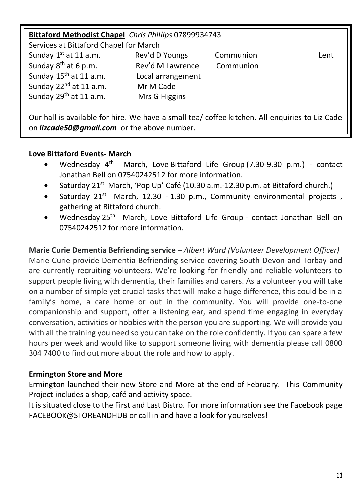| Bittaford Methodist Chapel Chris Phillips 07899934743 |                   |           |      |  |  |  |  |  |
|-------------------------------------------------------|-------------------|-----------|------|--|--|--|--|--|
| Services at Bittaford Chapel for March                |                   |           |      |  |  |  |  |  |
| Sunday $1st$ at 11 a.m.                               | Rev'd D Youngs    | Communion | Lent |  |  |  |  |  |
| Sunday $8^{th}$ at 6 p.m.                             | Rev'd M Lawrence  | Communion |      |  |  |  |  |  |
| Sunday 15 <sup>th</sup> at 11 a.m.                    | Local arrangement |           |      |  |  |  |  |  |
| Sunday 22 <sup>nd</sup> at 11 a.m.                    | Mr M Cade         |           |      |  |  |  |  |  |
| Sunday 29 <sup>th</sup> at 11 a.m.                    | Mrs G Higgins     |           |      |  |  |  |  |  |
|                                                       |                   |           |      |  |  |  |  |  |

Our hall is available for hire. We have a small tea/ coffee kitchen. All enquiries to Liz Cade on *[lizcade50@gmail.com](file:///C:/Users/User/Documents/newsletter/lizcade50@gmail.com)* or the above number.

### **Love Bittaford Events- March**

- Wednesday  $4^{th}$  March, Love Bittaford Life Group (7.30-9.30 p.m.) contact Jonathan Bell on 07540242512 for more information.
- Saturday  $21^{st}$  March, 'Pop Up' Café (10.30 a.m.-12.30 p.m. at Bittaford church.)
- Saturday  $21^{st}$  March, 12.30 1.30 p.m., Community environmental projects, gathering at Bittaford church.
- Wednesdav 25<sup>th</sup> March, Love Bittaford Life Group contact Jonathan Bell on 07540242512 for more information.

### **Marie Curie Dementia Befriending service** *– Albert Ward (Volunteer Development Officer)*

Marie Curie provide Dementia Befriending service covering South Devon and Torbay and are currently recruiting volunteers. We're looking for friendly and reliable volunteers to support people living with dementia, their families and carers. As a volunteer you will take on a number of simple yet crucial tasks that will make a huge difference, this could be in a family's home, a care home or out in the community. You will provide one-to-one companionship and support, offer a listening ear, and spend time engaging in everyday conversation, activities or hobbies with the person you are supporting. We will provide you with all the training you need so you can take on the role confidently. If you can spare a few hours per week and would like to support someone living with dementia please call 0800 304 7400 to find out more about the role and how to apply.

#### **Ermington Store and More**

Ermington launched their new Store and More at the end of February. This Community Project includes a shop, café and activity space.

It is situated close to the First and Last Bistro. For more information see the Facebook page FACEBOOK@STOREANDHUB or call in and have a look for yourselves!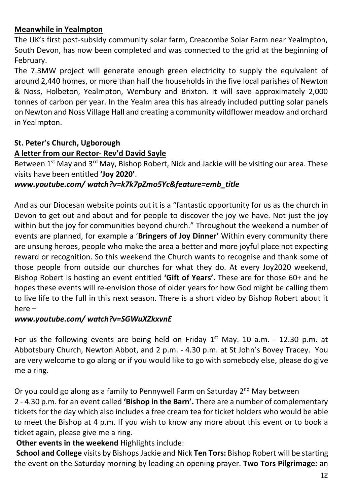### **Meanwhile in Yealmpton**

The UK's first post-subsidy community solar farm, Creacombe Solar Farm near Yealmpton, South Devon, has now been completed and was connected to the grid at the beginning of February.

The 7.3MW project will generate enough green electricity to supply the equivalent of around 2,440 homes, or more than half the households in the five local parishes of Newton & Noss, Holbeton, Yealmpton, Wembury and Brixton. It will save approximately 2,000 tonnes of carbon per year. In the Yealm area this has already included putting solar panels on Newton and Noss Village Hall and creating a community wildflower meadow and orchard in Yealmpton.

### **St. Peter's Church, Ugborough**

#### **A letter from our Rector- Rev'd David Sayle**

Between 1<sup>st</sup> May and 3<sup>rd</sup> May, Bishop Robert, Nick and Jackie will be visiting our area. These visits have been entitled **'Joy 2020'**.

#### *www.youtube.com/ watch?v=k7k7pZmo5Yc&feature=emb\_title*

And as our Diocesan website points out it is a "fantastic opportunity for us as the church in Devon to get out and about and for people to discover the joy we have. Not just the joy within but the joy for communities beyond church." Throughout the weekend a number of events are planned, for example a '**Bringers of Joy Dinner'** Within every community there are unsung heroes, people who make the area a better and more joyful place not expecting reward or recognition. So this weekend the Church wants to recognise and thank some of those people from outside our churches for what they do. At every Joy2020 weekend, Bishop Robert is hosting an event entitled **'Gift of Years'.** These are for those 60+ and he hopes these events will re-envision those of older years for how God might be calling them to live life to the full in this next season. There is a short video by Bishop Robert about it here –

### *www.youtube.com/ watch?v=SGWuXZkxvnE*

For us the following events are being held on Friday  $1<sup>st</sup>$  May. 10 a.m. - 12.30 p.m. at Abbotsbury Church, Newton Abbot, and 2 p.m. - 4.30 p.m. at St John's Bovey Tracey. You are very welcome to go along or if you would like to go with somebody else, please do give me a ring.

Or you could go along as a family to Pennywell Farm on Saturday 2<sup>nd</sup> May between

2 - 4.30 p.m. for an event called **'Bishop in the Barn'.** There are a number of complementary tickets for the day which also includes a free cream tea for ticket holders who would be able to meet the Bishop at 4 p.m. If you wish to know any more about this event or to book a ticket again, please give me a ring.

**Other events in the weekend** Highlights include:

**School and College** visits by BishopsJackie and Nick **Ten Tors:** Bishop Robert will be starting the event on the Saturday morning by leading an opening prayer. **Two Tors Pilgrimage:** an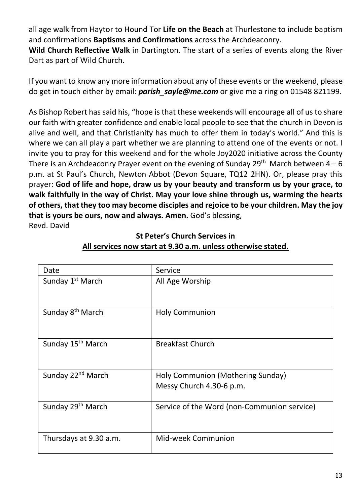all age walk from Haytor to Hound Tor **Life on the Beach** at Thurlestone to include baptism and confirmations **Baptisms and Confirmations** across the Archdeaconry.

**Wild Church Reflective Walk** in Dartington. The start of a series of events along the River Dart as part of Wild Church.

If you want to know any more information about any of these events orthe weekend, please do get in touch either by email: *parish\_sayle@me.com* or give me a ring on 01548 821199.

As Bishop Robert has said his, "hope is that these weekends will encourage all of us to share our faith with greater confidence and enable local people to see that the church in Devon is alive and well, and that Christianity has much to offer them in today's world." And this is where we can all play a part whether we are planning to attend one of the events or not. I invite you to pray for this weekend and for the whole Joy2020 initiative across the County There is an Archdeaconry Prayer event on the evening of Sunday 29<sup>th</sup> March between  $4 - 6$ p.m. at St Paul's Church, Newton Abbot (Devon Square, TQ12 2HN). Or, please pray this prayer: **God of life and hope, draw us by your beauty and transform us by your grace, to walk faithfully in the way of Christ. May your love shine through us, warming the hearts of others, that they too may become disciples and rejoice to be your children. May the joy that is yours be ours, now and always. Amen.** God's blessing, Revd. David

Date Service<br>
Sunday 1<sup>st</sup> March All Age All Age Worship Sunday 8<sup>th</sup> March **Holy Communion** Sunday 15<sup>th</sup> March Breakfast Church Sunday 22<sup>nd</sup> March **Holy Communion (Mothering Sunday)** Messy Church 4.30-6 p.m. Sunday 29<sup>th</sup> March Service of the Word (non-Communion service) Thursdays at 9.30 a.m. Mid-week Communion

## **St Peter's Church Services in All services now start at 9.30 a.m. unless otherwise stated.**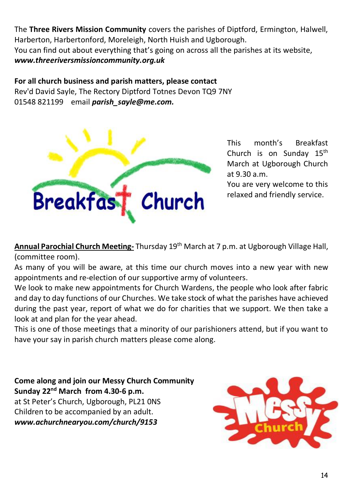The **Three Rivers Mission Community** covers the parishes of Diptford, Ermington, Halwell, Harberton, Harbertonford, Moreleigh, North Huish and Ugborough. You can find out about everything that's going on across all the parishes at its website, *[www.threeriversmissioncommunity.org.uk](file:///C:/Users/User/Documents/newsletter/www.threeriversmissioncommunity.org.uk)*

#### **For all church business and parish matters, please contact**

Rev'd David Sayle, The Rectory Diptford Totnes Devon TQ9 7NY 01548 821199 email *[parish\\_sayle@me.com.](mailto:parish_sayle@me.com)*



This month's Breakfast Church is on Sunday  $15<sup>th</sup>$ March at Ugborough Church at 9.30 a.m.

You are very welcome to this relaxed and friendly service.

**Annual Parochial Church Meeting-** Thursday 19th March at 7 p.m. at Ugborough Village Hall, (committee room).

As many of you will be aware, at this time our church moves into a new year with new appointments and re-election of our supportive army of volunteers.

We look to make new appointments for Church Wardens, the people who look after fabric and day to day functions of our Churches. We take stock of what the parishes have achieved during the past year, report of what we do for charities that we support. We then take a look at and plan for the year ahead.

This is one of those meetings that a minority of our parishioners attend, but if you want to have your say in parish church matters please come along.

**Come along and join our Messy Church Community Sunday 22nd March from 4.30-6 p.m.** at St Peter's Church, Ugborough, PL21 0NS Children to be accompanied by an adult. *[www.achurchnearyou.com/church/9153](http://www.achurchnearyou.com/church/9153)*

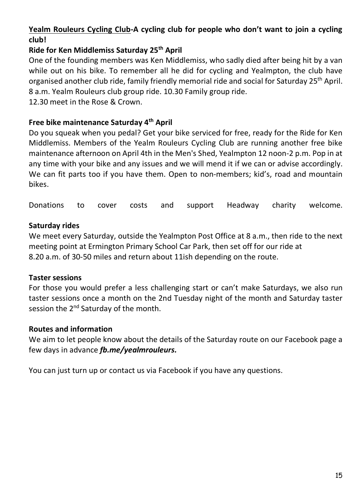# **Yealm Rouleurs Cycling Club-A cycling club for people who don't want to join a cycling club!**

# **Ride for Ken Middlemiss Saturday 25th April**

One of the founding members was Ken Middlemiss, who sadly died after being hit by a van while out on his bike. To remember all he did for cycling and Yealmpton, the club have organised another club ride, family friendly memorial ride and social for Saturday 25<sup>th</sup> April. 8 a.m. Yealm Rouleurs club group ride. 10.30 Family group ride.

12.30 meet in the Rose & Crown.

## **Free bike maintenance Saturday 4th April**

Do you squeak when you pedal? Get your bike serviced for free, ready for the Ride for Ken Middlemiss. Members of the Yealm Rouleurs Cycling Club are running another free bike maintenance afternoon on April 4th in the Men's Shed, Yealmpton 12 noon-2 p.m. Pop in at any time with your bike and any issues and we will mend it if we can or advise accordingly. We can fit parts too if you have them. Open to non-members; kid's, road and mountain bikes.

Donations to cover costs and support Headway charity welcome.

### **Saturday rides**

We meet every Saturday, outside the Yealmpton Post Office at 8 a.m., then ride to the next meeting point at Ermington Primary School Car Park, then set off for our ride at 8.20 a.m. of 30-50 miles and return about 11ish depending on the route.

#### **Taster sessions**

For those you would prefer a less challenging start or can't make Saturdays, we also run taster sessions once a month on the 2nd Tuesday night of the month and Saturday taster session the 2<sup>nd</sup> Saturday of the month.

#### **Routes and information**

We aim to let people know about the details of the Saturday route on our Facebook page a few days in advance *[fb.me/yealmrouleurs.](http://fb.me/yealmrouleurs)*

You can just turn up or contact us via Facebook if you have any questions.